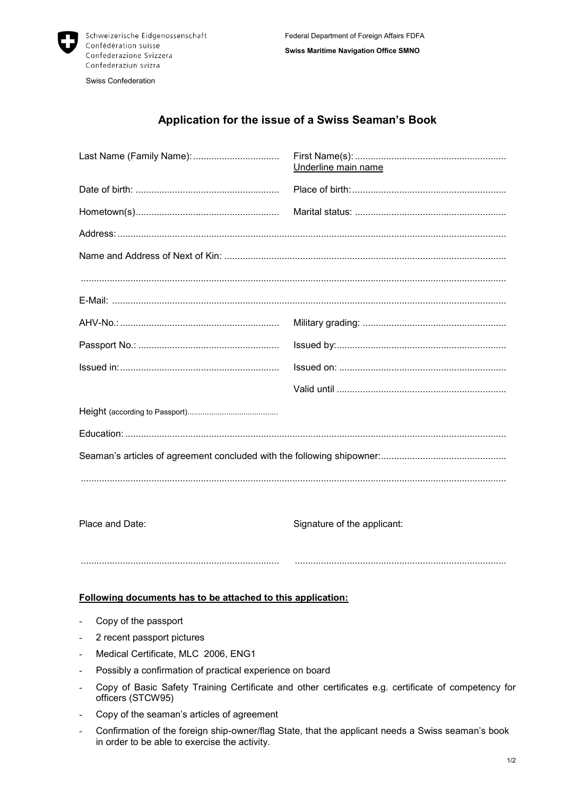

Swiss Confederation

## **Application for the issue of a Swiss Seaman's Book**

|                 | Underline main name         |
|-----------------|-----------------------------|
|                 |                             |
|                 |                             |
|                 |                             |
|                 |                             |
|                 |                             |
|                 |                             |
|                 |                             |
|                 |                             |
|                 |                             |
|                 |                             |
|                 |                             |
|                 |                             |
|                 |                             |
|                 |                             |
| Place and Date: | Signature of the applicant: |
|                 |                             |

## **Following documents has to be attached to this application:**

- Copy of the passport
- 2 recent passport pictures
- Medical Certificate, MLC 2006, ENG1
- Possibly a confirmation of practical experience on board
- Copy of Basic Safety Training Certificate and other certificates e.g. certificate of competency for officers (STCW95)
- Copy of the seaman's articles of agreement
- Confirmation of the foreign ship-owner/flag State, that the applicant needs a Swiss seaman's book in order to be able to exercise the activity.